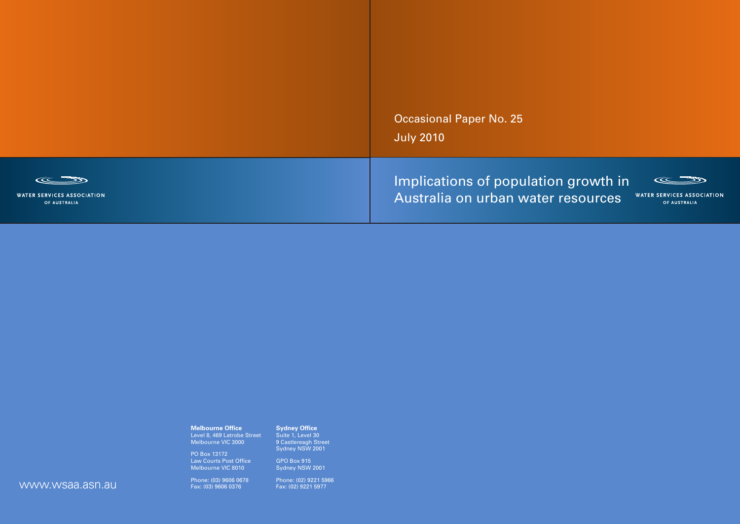Occasional Paper No. 25 July 2010

Implications of population growth in Australia on urban water resources



**WATER SERVICES ASSOCIATION** OF AUSTRALIA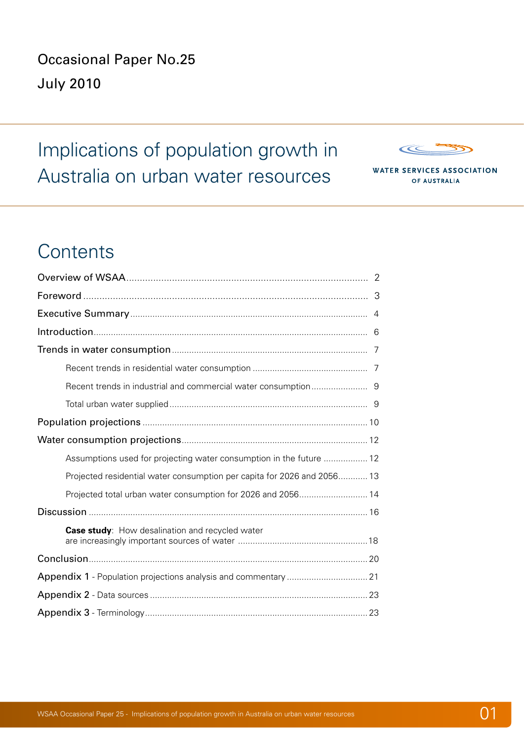Occasional Paper No.25 July 2010

Implications of population growth in Australia on urban water resources



**WATER SERVICES ASSOCIATION** OF AUSTRALIA

# **Contents**

| Assumptions used for projecting water consumption in the future  12     |  |
|-------------------------------------------------------------------------|--|
| Projected residential water consumption per capita for 2026 and 2056 13 |  |
| Projected total urban water consumption for 2026 and 2056 14            |  |
|                                                                         |  |
| Case study: How desalination and recycled water                         |  |
|                                                                         |  |
|                                                                         |  |
|                                                                         |  |
|                                                                         |  |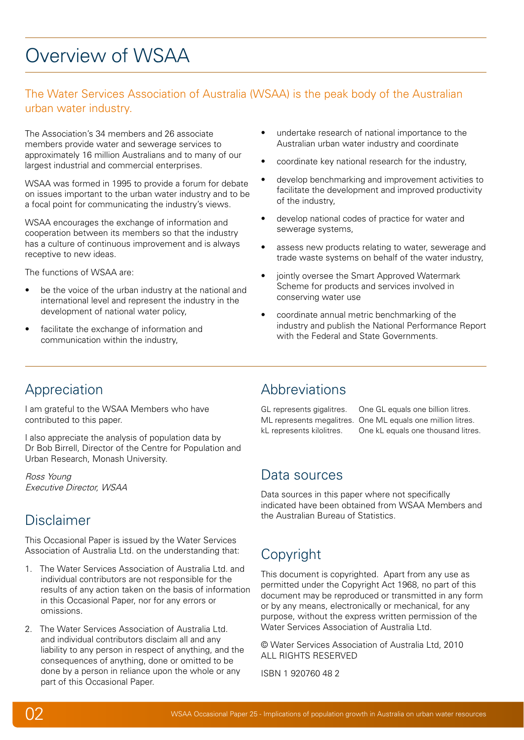# <span id="page-2-0"></span>Overview of WSAA

# The Water Services Association of Australia (WSAA) is the peak body of the Australian urban water industry.

The Association's 34 members and 26 associate members provide water and sewerage services to approximately 16 million Australians and to many of our largest industrial and commercial enterprises.

WSAA was formed in 1995 to provide a forum for debate on issues important to the urban water industry and to be a focal point for communicating the industry's views.

WSAA encourages the exchange of information and cooperation between its members so that the industry has a culture of continuous improvement and is always receptive to new ideas.

The functions of WSAA are:

- be the voice of the urban industry at the national and international level and represent the industry in the development of national water policy,
- facilitate the exchange of information and communication within the industry,
- undertake research of national importance to the Australian urban water industry and coordinate
- coordinate key national research for the industry,
- • develop benchmarking and improvement activities to facilitate the development and improved productivity of the industry,
- develop national codes of practice for water and sewerage systems,
- assess new products relating to water, sewerage and trade waste systems on behalf of the water industry,
- jointly oversee the Smart Approved Watermark Scheme for products and services involved in conserving water use
- coordinate annual metric benchmarking of the industry and publish the National Performance Report with the Federal and State Governments.

# Appreciation

I am grateful to the WSAA Members who have contributed to this paper.

I also appreciate the analysis of population data by Dr Bob Birrell, Director of the Centre for Population and Urban Research, Monash University.

Ross Young Executive Director, WSAA

# Disclaimer

This Occasional Paper is issued by the Water Services Association of Australia Ltd. on the understanding that:

- 1. The Water Services Association of Australia Ltd. and individual contributors are not responsible for the results of any action taken on the basis of information in this Occasional Paper, nor for any errors or omissions.
- 2. The Water Services Association of Australia Ltd. and individual contributors disclaim all and any liability to any person in respect of anything, and the consequences of anything, done or omitted to be done by a person in reliance upon the whole or any part of this Occasional Paper.

# Abbreviations

GL represents gigalitres. One GL equals one billion litres. ML represents megalitres. One ML equals one million litres. kL represents kilolitres. One kL equals one thousand litres.

# Data sources

Data sources in this paper where not specifically indicated have been obtained from WSAA Members and the Australian Bureau of Statistics.

# Copyright

This document is copyrighted. Apart from any use as permitted under the Copyright Act 1968, no part of this document may be reproduced or transmitted in any form or by any means, electronically or mechanical, for any purpose, without the express written permission of the Water Services Association of Australia Ltd.

© Water Services Association of Australia Ltd, 2010 ALL RIGHTS RESERVED

ISBN 1 920760 48 2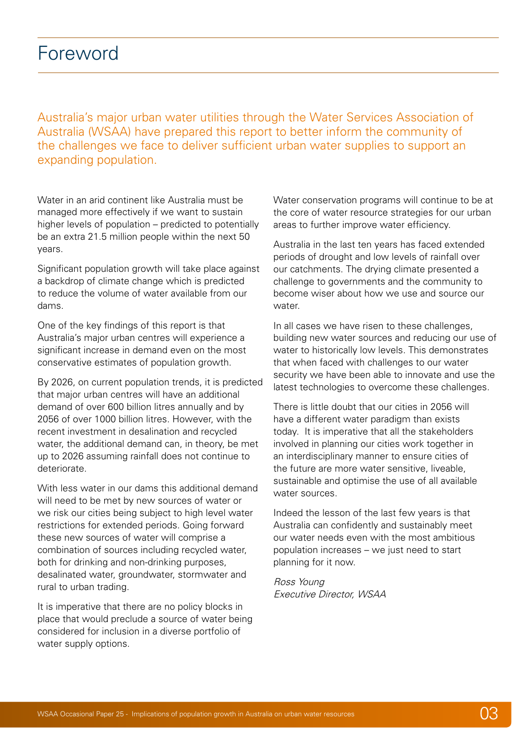<span id="page-3-0"></span>Australia's major urban water utilities through the Water Services Association of Australia (WSAA) have prepared this report to better inform the community of the challenges we face to deliver sufficient urban water supplies to support an expanding population.

Water in an arid continent like Australia must be managed more effectively if we want to sustain higher levels of population – predicted to potentially be an extra 21.5 million people within the next 50 years.

Significant population growth will take place against a backdrop of climate change which is predicted to reduce the volume of water available from our dams.

One of the key findings of this report is that Australia's major urban centres will experience a significant increase in demand even on the most conservative estimates of population growth.

By 2026, on current population trends, it is predicted that major urban centres will have an additional demand of over 600 billion litres annually and by 2056 of over 1000 billion litres. However, with the recent investment in desalination and recycled water, the additional demand can, in theory, be met up to 2026 assuming rainfall does not continue to deteriorate.

With less water in our dams this additional demand will need to be met by new sources of water or we risk our cities being subject to high level water restrictions for extended periods. Going forward these new sources of water will comprise a combination of sources including recycled water, both for drinking and non-drinking purposes, desalinated water, groundwater, stormwater and rural to urban trading.

It is imperative that there are no policy blocks in place that would preclude a source of water being considered for inclusion in a diverse portfolio of water supply options.

Water conservation programs will continue to be at the core of water resource strategies for our urban areas to further improve water efficiency.

Australia in the last ten years has faced extended periods of drought and low levels of rainfall over our catchments. The drying climate presented a challenge to governments and the community to become wiser about how we use and source our water

In all cases we have risen to these challenges. building new water sources and reducing our use of water to historically low levels. This demonstrates that when faced with challenges to our water security we have been able to innovate and use the latest technologies to overcome these challenges.

There is little doubt that our cities in 2056 will have a different water paradigm than exists today. It is imperative that all the stakeholders involved in planning our cities work together in an interdisciplinary manner to ensure cities of the future are more water sensitive, liveable, sustainable and optimise the use of all available water sources.

Indeed the lesson of the last few years is that Australia can confidently and sustainably meet our water needs even with the most ambitious population increases – we just need to start planning for it now.

Ross Young Executive Director, WSAA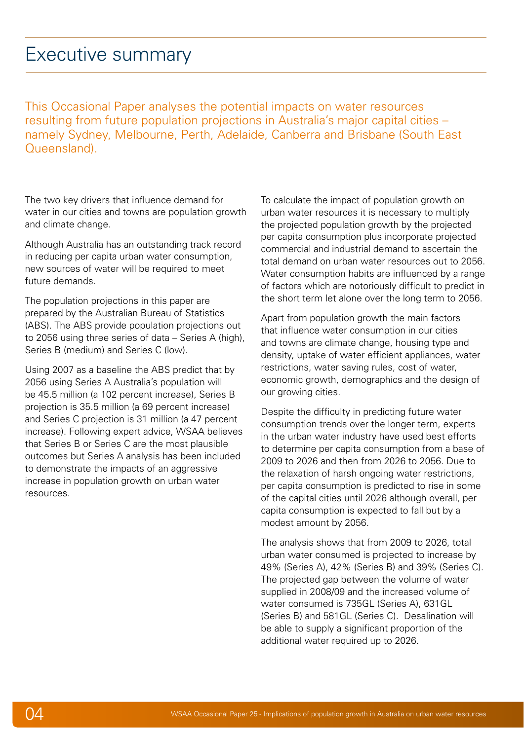# <span id="page-4-0"></span>Executive summary

This Occasional Paper analyses the potential impacts on water resources resulting from future population projections in Australia's major capital cities – namely Sydney, Melbourne, Perth, Adelaide, Canberra and Brisbane (South East Queensland).

The two key drivers that influence demand for water in our cities and towns are population growth and climate change.

Although Australia has an outstanding track record in reducing per capita urban water consumption, new sources of water will be required to meet future demands.

The population projections in this paper are prepared by the Australian Bureau of Statistics (ABS). The ABS provide population projections out to 2056 using three series of data – Series A (high), Series B (medium) and Series C (low).

Using 2007 as a baseline the ABS predict that by 2056 using Series A Australia's population will be 45.5 million (a 102 percent increase), Series B projection is 35.5 million (a 69 percent increase) and Series C projection is 31 million (a 47 percent increase). Following expert advice, WSAA believes that Series B or Series C are the most plausible outcomes but Series A analysis has been included to demonstrate the impacts of an aggressive increase in population growth on urban water resources.

To calculate the impact of population growth on urban water resources it is necessary to multiply the projected population growth by the projected per capita consumption plus incorporate projected commercial and industrial demand to ascertain the total demand on urban water resources out to 2056. Water consumption habits are influenced by a range of factors which are notoriously difficult to predict in the short term let alone over the long term to 2056.

Apart from population growth the main factors that influence water consumption in our cities and towns are climate change, housing type and density, uptake of water efficient appliances, water restrictions, water saving rules, cost of water, economic growth, demographics and the design of our growing cities.

Despite the difficulty in predicting future water consumption trends over the longer term, experts in the urban water industry have used best efforts to determine per capita consumption from a base of 2009 to 2026 and then from 2026 to 2056. Due to the relaxation of harsh ongoing water restrictions, per capita consumption is predicted to rise in some of the capital cities until 2026 although overall, per capita consumption is expected to fall but by a modest amount by 2056.

The analysis shows that from 2009 to 2026, total urban water consumed is projected to increase by 49% (Series A), 42% (Series B) and 39% (Series C). The projected gap between the volume of water supplied in 2008/09 and the increased volume of water consumed is 735GL (Series A), 631GL (Series B) and 581GL (Series C). Desalination will be able to supply a significant proportion of the additional water required up to 2026.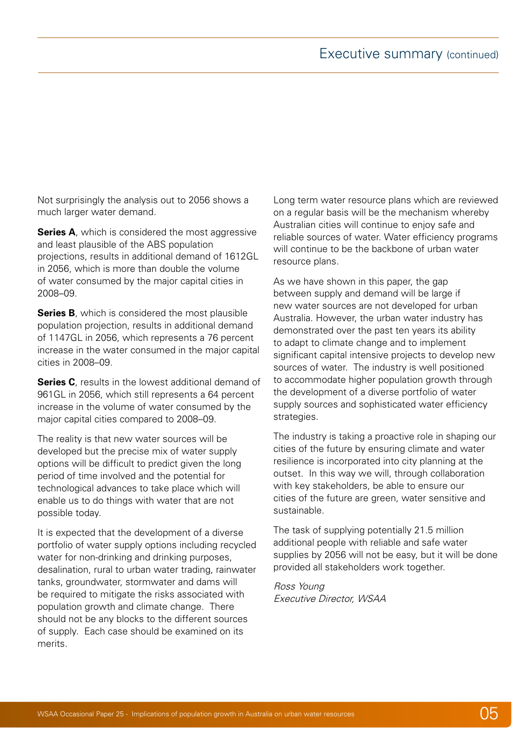Not surprisingly the analysis out to 2056 shows a much larger water demand.

**Series A**, which is considered the most aggressive and least plausible of the ABS population projections, results in additional demand of 1612GL in 2056, which is more than double the volume of water consumed by the major capital cities in 2008–09.

**Series B**, which is considered the most plausible population projection, results in additional demand of 1147GL in 2056, which represents a 76 percent increase in the water consumed in the major capital cities in 2008–09.

**Series C**, results in the lowest additional demand of 961GL in 2056, which still represents a 64 percent increase in the volume of water consumed by the major capital cities compared to 2008–09.

The reality is that new water sources will be developed but the precise mix of water supply options will be difficult to predict given the long period of time involved and the potential for technological advances to take place which will enable us to do things with water that are not possible today.

It is expected that the development of a diverse portfolio of water supply options including recycled water for non-drinking and drinking purposes, desalination, rural to urban water trading, rainwater tanks, groundwater, stormwater and dams will be required to mitigate the risks associated with population growth and climate change. There should not be any blocks to the different sources of supply. Each case should be examined on its merits.

Long term water resource plans which are reviewed on a regular basis will be the mechanism whereby Australian cities will continue to enjoy safe and reliable sources of water. Water efficiency programs will continue to be the backbone of urban water resource plans.

As we have shown in this paper, the gap between supply and demand will be large if new water sources are not developed for urban Australia. However, the urban water industry has demonstrated over the past ten years its ability to adapt to climate change and to implement significant capital intensive projects to develop new sources of water. The industry is well positioned to accommodate higher population growth through the development of a diverse portfolio of water supply sources and sophisticated water efficiency strategies.

The industry is taking a proactive role in shaping our cities of the future by ensuring climate and water resilience is incorporated into city planning at the outset. In this way we will, through collaboration with key stakeholders, be able to ensure our cities of the future are green, water sensitive and sustainable.

The task of supplying potentially 21.5 million additional people with reliable and safe water supplies by 2056 will not be easy, but it will be done provided all stakeholders work together.

Ross Young Executive Director, WSAA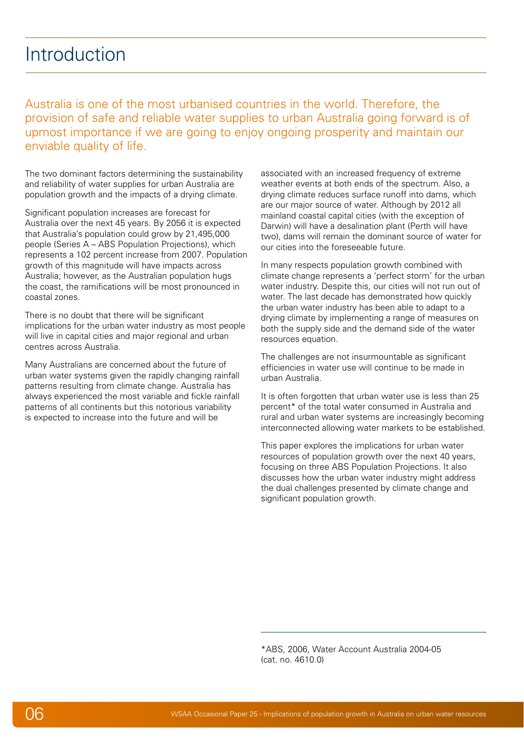# <span id="page-6-0"></span>Introduction

Australia is one of the most urbanised countries in the world. Therefore, the provision of safe and reliable water supplies to urban Australia going forward is of upmost importance if we are going to enjoy ongoing prosperity and maintain our enviable quality of life.

The two dominant factors determining the sustainability and reliability of water supplies for urban Australia are population growth and the impacts of a drying climate.

Significant population increases are forecast for Australia over the next 45 years. By 2056 it is expected that Australia's population could grow by 21,495,000 people (Series A – ABS Population Projections), which represents a 102 percent increase from 2007. Population growth of this magnitude will have impacts across Australia; however, as the Australian population hugs the coast, the ramifications will be most pronounced in coastal zones.

There is no doubt that there will be significant implications for the urban water industry as most people will live in capital cities and major regional and urban centres across Australia.

Many Australians are concerned about the future of urban water systems given the rapidly changing rainfall patterns resulting from climate change. Australia has always experienced the most variable and fickle rainfall patterns of all continents but this notorious variability is expected to increase into the future and will be

associated with an increased frequency of extreme weather events at both ends of the spectrum. Also, a drying climate reduces surface runoff into dams, which are our major source of water. Although by 2012 all mainland coastal capital cities (with the exception of Darwin) will have a desalination plant (Perth will have two), dams will remain the dominant source of water for our cities into the foreseeable future.

In many respects population growth combined with climate change represents a 'perfect storm' for the urban water industry. Despite this, our cities will not run out of water. The last decade has demonstrated how quickly the urban water industry has been able to adapt to a drying climate by implementing a range of measures on both the supply side and the demand side of the water resources equation.

The challenges are not insurmountable as significant efficiencies in water use will continue to be made in urban Australia.

It is often forgotten that urban water use is less than 25 percent\* of the total water consumed in Australia and rural and urban water systems are increasingly becoming interconnected allowing water markets to be established.

This paper explores the implications for urban water resources of population growth over the next 40 years, focusing on three ABS Population Projections. It also discusses how the urban water industry might address the dual challenges presented by climate change and significant population growth.

\*ABS, 2006, Water Account Australia 2004-05 (cat. no. 4610.0)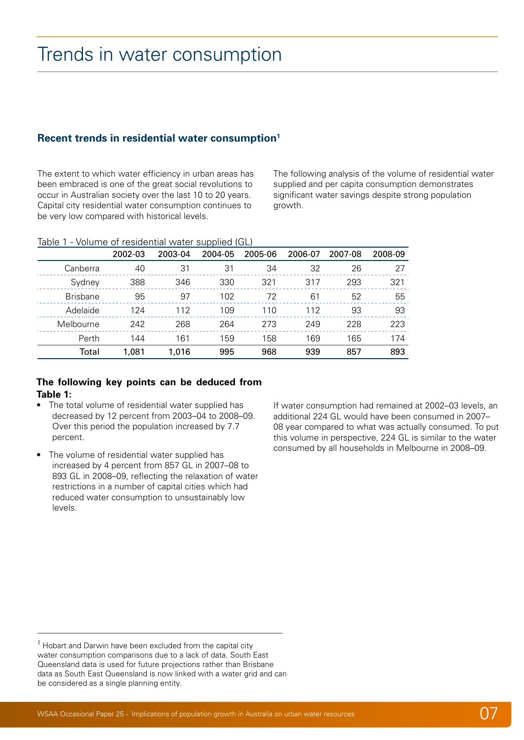# <span id="page-7-0"></span>Trends in water consumption

### **Recent trends in residential water consumption1**

The extent to which water efficiency in urban areas has been embraced is one of the great social revolutions to occur in Australian society over the last 10 to 20 years. Capital city residential water consumption continues to be very low compared with historical levels.

The following analysis of the volume of residential water supplied and per capita consumption demonstrates significant water savings despite strong population growth.

| Table 1 - Volume of residential water supplied (GL) |  |
|-----------------------------------------------------|--|
|-----------------------------------------------------|--|

|                 | 2002-03 | 2003-04 | 2004-05 | 2005-06 | 2006-07 | 2007-08 | 2008-09 |
|-----------------|---------|---------|---------|---------|---------|---------|---------|
| Canberra        | 40      | 31      | 31      | 34      | 32      | 26      | 27      |
| Sydney          | 388     | 346     | 330     | 321     | 317     | 293     | 321     |
| <b>Brisbane</b> | 95      | 97      | 102     | 72      | 61      | 52      | 55      |
| Adelaide        | 124     | 112     | 109     | 110     | 112     | 93      | 93      |
| Melbourne       | 242     | 268     | 264     | 273     | 249     | 228     | 223     |
| Perth           | 144     | 161     | 159     | 158     | 169     | 165     | 174     |
| Total           | 1,081   | 1,016   | 995     | 968     | 939     | 857     | 893     |

#### **The following key points can be deduced from Table 1:**

- The total volume of residential water supplied has decreased by 12 percent from 2003–04 to 2008–09. Over this period the population increased by 7.7 percent.
- The volume of residential water supplied has increased by 4 percent from 857 GL in 2007–08 to 893 GL in 2008–09, reflecting the relaxation of water restrictions in a number of capital cities which had reduced water consumption to unsustainably low levels.

If water consumption had remained at 2002–03 levels, an additional 224 GL would have been consumed in 2007– 08 year compared to what was actually consumed. To put this volume in perspective, 224 GL is similar to the water consumed by all households in Melbourne in 2008–09.

 $1$  Hobart and Darwin have been excluded from the capital city water consumption comparisons due to a lack of data. South East Queensland data is used for future projections rather than Brisbane data as South East Queensland is now linked with a water grid and can be considered as a single planning entity.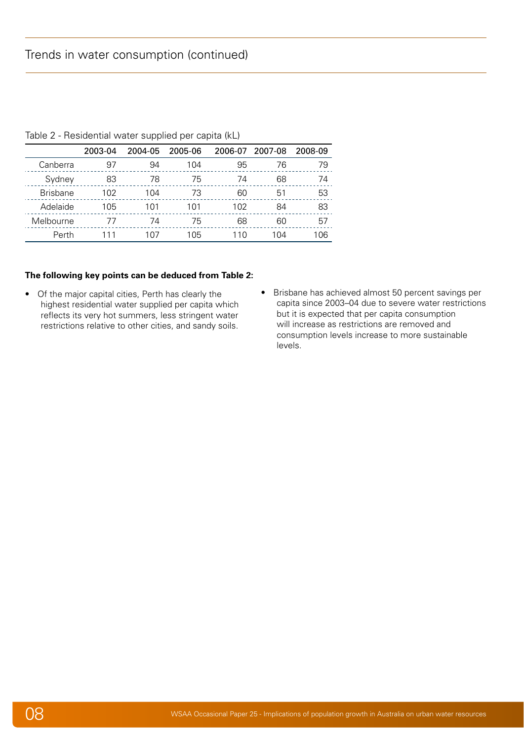|                 | 2003-04 | 2004-05 | 2005-06 | 2006-07 | 2007-08 | 2008-09 |
|-----------------|---------|---------|---------|---------|---------|---------|
| Canberra        | 97      | 94      | 104     | 95      | 76      | 79      |
| Sydney          | 83      | 78      | 75      | 74      | 68      | 74      |
| <b>Brisbane</b> | 102     | 104     | 73      | 60      | 51      | 53      |
| Adelaide        | 105     | 101     | 101     | 102     | 84      | 83      |
| Melbourne       | 77      | 74      | 75      | 68      | 60      | 57      |
| Perth           |         | 107     | 105     | 110     | 104     | 106     |

Table 2 - Residential water supplied per capita (kL)

#### **The following key points can be deduced from Table 2:**

- • Of the major capital cities, Perth has clearly the highest residential water supplied per capita which reflects its very hot summers, less stringent water restrictions relative to other cities, and sandy soils.
- • Brisbane has achieved almost 50 percent savings per capita since 2003–04 due to severe water restrictions but it is expected that per capita consumption will increase as restrictions are removed and consumption levels increase to more sustainable levels.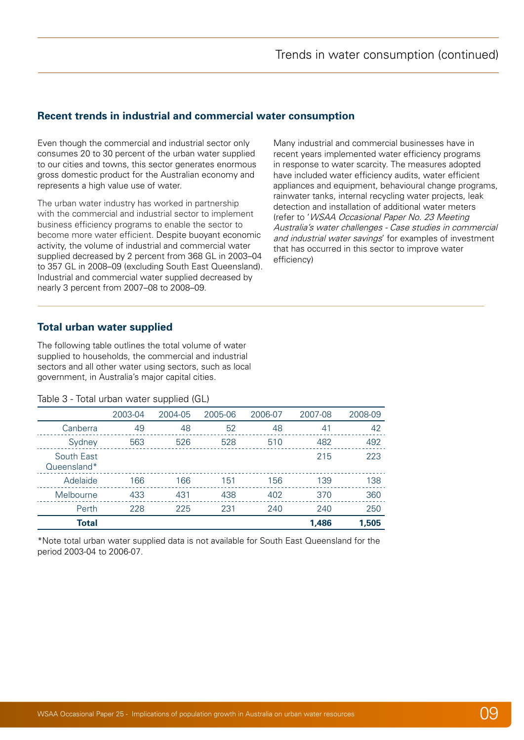### <span id="page-9-0"></span>**Recent trends in industrial and commercial water consumption**

Even though the commercial and industrial sector only consumes 20 to 30 percent of the urban water supplied to our cities and towns, this sector generates enormous gross domestic product for the Australian economy and represents a high value use of water.

The urban water industry has worked in partnership with the commercial and industrial sector to implement business efficiency programs to enable the sector to become more water efficient. Despite buoyant economic activity, the volume of industrial and commercial water supplied decreased by 2 percent from 368 GL in 2003–04 to 357 GL in 2008–09 (excluding South East Queensland). Industrial and commercial water supplied decreased by nearly 3 percent from 2007–08 to 2008–09.

Many industrial and commercial businesses have in recent years implemented water efficiency programs in response to water scarcity. The measures adopted have included water efficiency audits, water efficient appliances and equipment, behavioural change programs, rainwater tanks, internal recycling water projects, leak detection and installation of additional water meters (refer to 'WSAA Occasional Paper No. 23 Meeting Australia's water challenges - Case studies in commercial and industrial water savings' for examples of investment that has occurred in this sector to improve water efficiency)

### **Total urban water supplied**

The following table outlines the total volume of water supplied to households, the commercial and industrial sectors and all other water using sectors, such as local government, in Australia's major capital cities.

#### Table 3 - Total urban water supplied (GL)

|                           | 2003-04 | 2004-05 | 2005-06 | 2006-07 | 2007-08 | 2008-09 |
|---------------------------|---------|---------|---------|---------|---------|---------|
| Canberra                  | 49      | 48      | 52      | 48      | 41      | 42      |
| Sydney                    | 563     | 526     | 528     | 510     | 482     | 492     |
| South East<br>Queensland* |         |         |         |         | 215     | 223     |
| Adelaide                  | 166     | 166     | 151     | 156     | 139     | 138     |
| Melbourne                 | 433     | 431     | 438     | 402     | 370     | 360     |
| Perth                     | 228     | 225     | 231     | 240     | 240     | 250     |
| <b>Total</b>              |         |         |         |         | 1.486   | 1,505   |

\*Note total urban water supplied data is not available for South East Queensland for the period 2003-04 to 2006-07.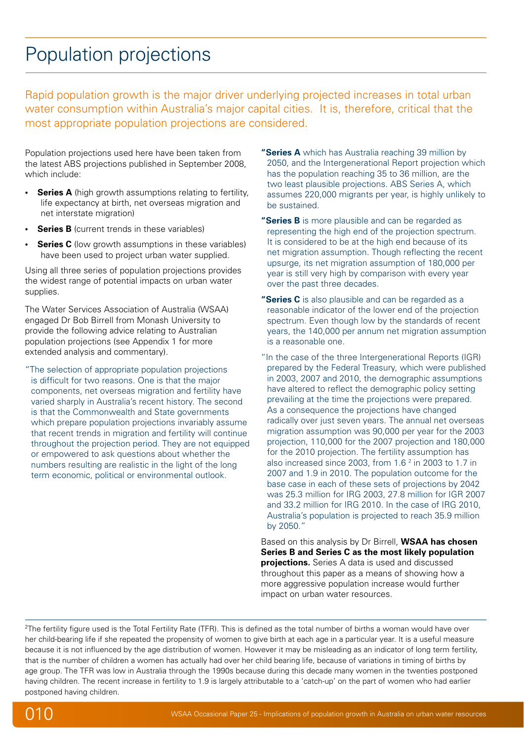# <span id="page-10-0"></span>Population projections

Rapid population growth is the major driver underlying projected increases in total urban water consumption within Australia's major capital cities. It is, therefore, critical that the most appropriate population projections are considered.

Population projections used here have been taken from the latest ABS projections published in September 2008, which include:

- **Series A** (high growth assumptions relating to fertility, life expectancy at birth, net overseas migration and net interstate migration)
- **Series B** (current trends in these variables)
- **Series C** (low growth assumptions in these variables) have been used to project urban water supplied.

Using all three series of population projections provides the widest range of potential impacts on urban water supplies.

The Water Services Association of Australia (WSAA) engaged Dr Bob Birrell from Monash University to provide the following advice relating to Australian population projections (see Appendix 1 for more extended analysis and commentary).

"The selection of appropriate population projections is difficult for two reasons. One is that the major components, net overseas migration and fertility have varied sharply in Australia's recent history. The second is that the Commonwealth and State governments which prepare population projections invariably assume that recent trends in migration and fertility will continue throughout the projection period. They are not equipped or empowered to ask questions about whether the numbers resulting are realistic in the light of the long term economic, political or environmental outlook.

- **"Series A** which has Australia reaching 39 million by 2050, and the Intergenerational Report projection which has the population reaching 35 to 36 million, are the two least plausible projections. ABS Series A, which assumes 220,000 migrants per year, is highly unlikely to be sustained.
- **"Series B** is more plausible and can be regarded as representing the high end of the projection spectrum. It is considered to be at the high end because of its net migration assumption. Though reflecting the recent upsurge, its net migration assumption of 180,000 per year is still very high by comparison with every year over the past three decades.
- **"Series C** is also plausible and can be regarded as a reasonable indicator of the lower end of the projection spectrum. Even though low by the standards of recent years, the 140,000 per annum net migration assumption is a reasonable one.
- "In the case of the three Intergenerational Reports (IGR) prepared by the Federal Treasury, which were published in 2003, 2007 and 2010, the demographic assumptions have altered to reflect the demographic policy setting prevailing at the time the projections were prepared. As a consequence the projections have changed radically over just seven years. The annual net overseas migration assumption was 90,000 per year for the 2003 projection, 110,000 for the 2007 projection and 180,000 for the 2010 projection. The fertility assumption has also increased since 2003, from  $1.6<sup>2</sup>$  in 2003 to  $1.7$  in 2007 and 1.9 in 2010. The population outcome for the base case in each of these sets of projections by 2042 was 25.3 million for IRG 2003, 27.8 million for IGR 2007 and 33.2 million for IRG 2010. In the case of IRG 2010, Australia's population is projected to reach 35.9 million by 2050."

Based on this analysis by Dr Birrell, **WSAA has chosen Series B and Series C as the most likely population projections.** Series A data is used and discussed throughout this paper as a means of showing how a more aggressive population increase would further impact on urban water resources.

 $^{2}$ The fertility figure used is the Total Fertility Rate (TFR). This is defined as the total number of births a woman would have over her child-bearing life if she repeated the propensity of women to give birth at each age in a particular year. It is a useful measure because it is not influenced by the age distribution of women. However it may be misleading as an indicator of long term fertility, that is the number of children a women has actually had over her child bearing life, because of variations in timing of births by age group. The TFR was low in Australia through the 1990s because during this decade many women in the twenties postponed having children. The recent increase in fertility to 1.9 is largely attributable to a 'catch-up' on the part of women who had earlier postponed having children.

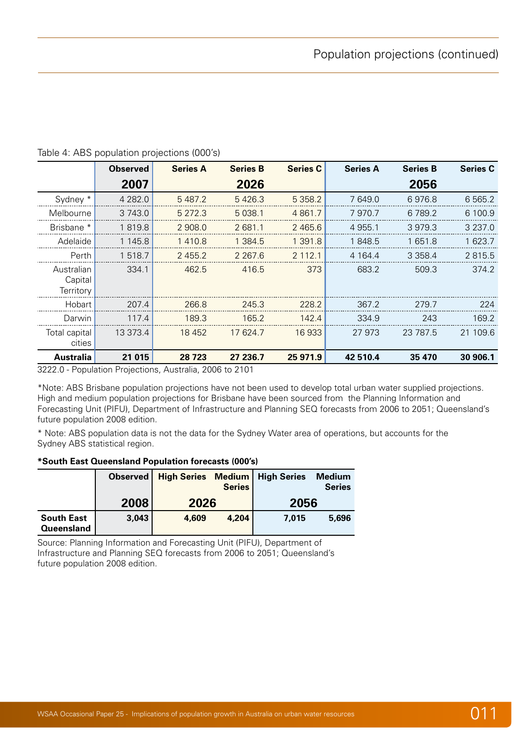|                                    | <b>Observed</b> | <b>Series A</b>                                   | <b>Series B</b> | <b>Series C</b> | <b>Series A</b> | <b>Series B</b> | <b>Series C</b> |
|------------------------------------|-----------------|---------------------------------------------------|-----------------|-----------------|-----------------|-----------------|-----------------|
|                                    | 2007            |                                                   | 2026            |                 |                 | 2056            |                 |
| Sydney *                           | 4 2 8 2.0       | 5 4 8 7.2                                         | 5426.3          | 5 3 5 8.2       | 7 649.0         | 6976.8          | 6 5 6 5 .2      |
| Melbourne                          | 3 743.0         | 5 2 7 2 . 3                                       | 5 0 38.1        | 4 8 6 1 . 7     | 7970.7          | 6 789.2         | 6 100.9         |
| Brisbane <sup>*</sup>              | 1819.8          | 2 908.0                                           | 2 681.1         | 2 4 6 5 . 6     | 4 9 5 5.1       | 3979.3          | 3 2 3 7 .0      |
| Adelaide                           | 1 145.8         | 1410.8                                            | 1 3 8 4 . 5     | 1 391.8         | 1848.5          | 1 651.8         | 1 623.7         |
| Perth                              | 1 518.7         | 2455.2                                            | 2 2 6 7 . 6     | 2 112.1         | 4 1 64.4        | 3 3 5 8.4       | 2815.5          |
| Australian<br>Capital<br>Territory | 334.1           | 462.5                                             | 416.5           | 373             | 683.2           | 509.3           | 374.2           |
| Hobart                             | 207.4           | 266.8                                             | 245.3           | 228.2           | 367.2           | 279.7           | 224             |
| Darwin                             | 117.4           | 189.3                                             | 165.2           | 142.4           | 334.9           | 243             | 169.2           |
| Total capital<br>cities            | 13 373.4        | 18 4 52                                           | 17 624.7        | 16933           | 27 973          | 23 787.5        | 21 109.6        |
| Australia                          | 21 0 15         | 28 7 23<br>$\lambda$ $\lambda$ $\lambda$ $\alpha$ | 27 236.7        | 25 971.9        | 42 510.4        | 35 470          | 30 906.1        |

#### Table 4: ABS population projections (000's)

3222.0 - Population Projections, Australia, 2006 to 2101

\*Note: ABS Brisbane population projections have not been used to develop total urban water supplied projections. High and medium population projections for Brisbane have been sourced from the Planning Information and Forecasting Unit (PIFU), Department of Infrastructure and Planning SEQ forecasts from 2006 to 2051; Queensland's future population 2008 edition.

\* Note: ABS population data is not the data for the Sydney Water area of operations, but accounts for the Sydney ABS statistical region.

#### **\*South East Queensland Population forecasts (000's)**

|                                 | Observed | <b>High Series</b><br><b>Series</b> |       | <b>Medium High Series</b> | Medium<br><b>Series</b> |
|---------------------------------|----------|-------------------------------------|-------|---------------------------|-------------------------|
|                                 | 2008     | 2026                                |       | 2056                      |                         |
| <b>South East</b><br>Queensland | 3,043    | 4,609                               | 4,204 | 7.015                     | 5,696                   |

Source: Planning Information and Forecasting Unit (PIFU), Department of Infrastructure and Planning SEQ forecasts from 2006 to 2051; Queensland's future population 2008 edition.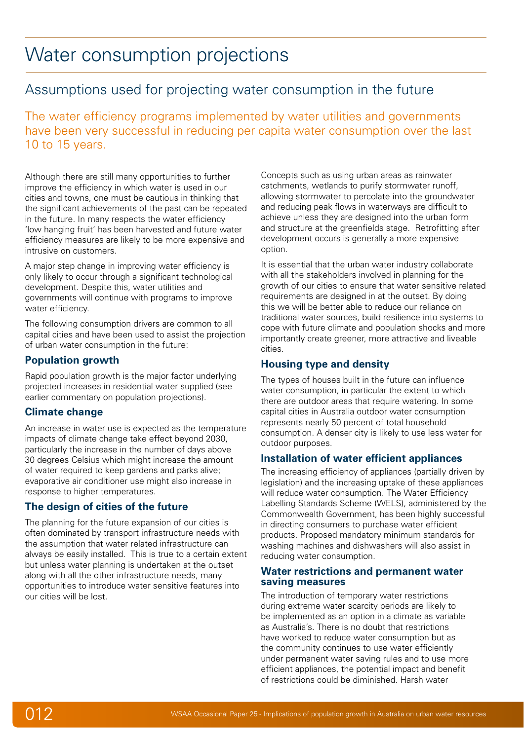# <span id="page-12-0"></span>Water consumption projections

# Assumptions used for projecting water consumption in the future

The water efficiency programs implemented by water utilities and governments have been very successful in reducing per capita water consumption over the last 10 to 15 years.

Although there are still many opportunities to further improve the efficiency in which water is used in our cities and towns, one must be cautious in thinking that the significant achievements of the past can be repeated in the future. In many respects the water efficiency 'low hanging fruit' has been harvested and future water efficiency measures are likely to be more expensive and intrusive on customers.

A major step change in improving water efficiency is only likely to occur through a significant technological development. Despite this, water utilities and governments will continue with programs to improve water efficiency.

The following consumption drivers are common to all capital cities and have been used to assist the projection of urban water consumption in the future:

## **Population growth**

Rapid population growth is the major factor underlying projected increases in residential water supplied (see earlier commentary on population projections).

## **Climate change**

An increase in water use is expected as the temperature impacts of climate change take effect beyond 2030, particularly the increase in the number of days above 30 degrees Celsius which might increase the amount of water required to keep gardens and parks alive; evaporative air conditioner use might also increase in response to higher temperatures.

## **The design of cities of the future**

The planning for the future expansion of our cities is often dominated by transport infrastructure needs with the assumption that water related infrastructure can always be easily installed. This is true to a certain extent but unless water planning is undertaken at the outset along with all the other infrastructure needs, many opportunities to introduce water sensitive features into our cities will be lost.

Concepts such as using urban areas as rainwater catchments, wetlands to purify stormwater runoff, allowing stormwater to percolate into the groundwater and reducing peak flows in waterways are difficult to achieve unless they are designed into the urban form and structure at the greenfields stage. Retrofitting after development occurs is generally a more expensive option.

It is essential that the urban water industry collaborate with all the stakeholders involved in planning for the growth of our cities to ensure that water sensitive related requirements are designed in at the outset. By doing this we will be better able to reduce our reliance on traditional water sources, build resilience into systems to cope with future climate and population shocks and more importantly create greener, more attractive and liveable cities.

## **Housing type and density**

The types of houses built in the future can influence water consumption, in particular the extent to which there are outdoor areas that require watering. In some capital cities in Australia outdoor water consumption represents nearly 50 percent of total household consumption. A denser city is likely to use less water for outdoor purposes.

## **Installation of water efficient appliances**

The increasing efficiency of appliances (partially driven by legislation) and the increasing uptake of these appliances will reduce water consumption. The Water Efficiency Labelling Standards Scheme (WELS), administered by the Commonwealth Government, has been highly successful in directing consumers to purchase water efficient products. Proposed mandatory minimum standards for washing machines and dishwashers will also assist in reducing water consumption.

#### **Water restrictions and permanent water saving measures**

The introduction of temporary water restrictions during extreme water scarcity periods are likely to be implemented as an option in a climate as variable as Australia's. There is no doubt that restrictions have worked to reduce water consumption but as the community continues to use water efficiently under permanent water saving rules and to use more efficient appliances, the potential impact and benefit of restrictions could be diminished. Harsh water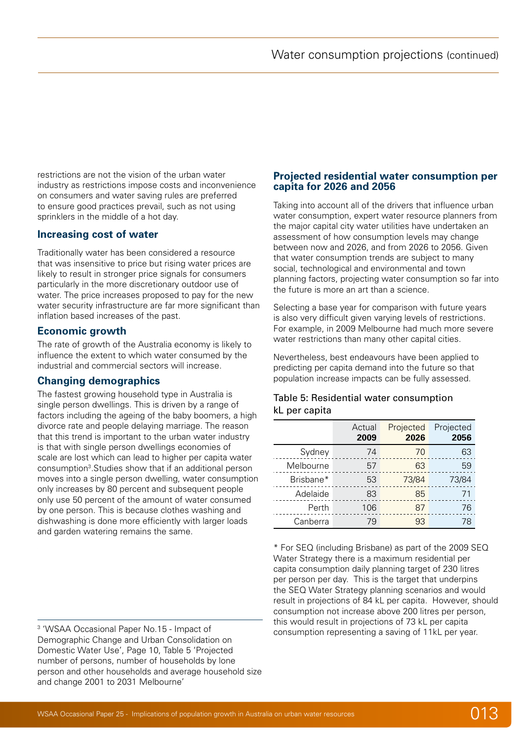<span id="page-13-0"></span>restrictions are not the vision of the urban water industry as restrictions impose costs and inconvenience on consumers and water saving rules are preferred to ensure good practices prevail, such as not using sprinklers in the middle of a hot day.

## **Increasing cost of water**

Traditionally water has been considered a resource that was insensitive to price but rising water prices are likely to result in stronger price signals for consumers particularly in the more discretionary outdoor use of water. The price increases proposed to pay for the new water security infrastructure are far more significant than inflation based increases of the past.

### **Economic growth**

The rate of growth of the Australia economy is likely to influence the extent to which water consumed by the industrial and commercial sectors will increase.

## **Changing demographics**

The fastest growing household type in Australia is single person dwellings. This is driven by a range of factors including the ageing of the baby boomers, a high divorce rate and people delaying marriage. The reason that this trend is important to the urban water industry is that with single person dwellings economies of scale are lost which can lead to higher per capita water consumption<sup>3</sup>. Studies show that if an additional person moves into a single person dwelling, water consumption only increases by 80 percent and subsequent people only use 50 percent of the amount of water consumed by one person. This is because clothes washing and dishwashing is done more efficiently with larger loads and garden watering remains the same.

 'WSAA Occasional Paper No.15 - Impact of Demographic Change and Urban Consolidation on Domestic Water Use', Page 10, Table 5 'Projected number of persons, number of households by lone person and other households and average household size and change 2001 to 2031 Melbourne'

### **Projected residential water consumption per capita for 2026 and 2056**

Taking into account all of the drivers that influence urban water consumption, expert water resource planners from the major capital city water utilities have undertaken an assessment of how consumption levels may change between now and 2026, and from 2026 to 2056. Given that water consumption trends are subject to many social, technological and environmental and town planning factors, projecting water consumption so far into the future is more an art than a science.

Selecting a base year for comparison with future years is also very difficult given varying levels of restrictions. For example, in 2009 Melbourne had much more severe water restrictions than many other capital cities.

Nevertheless, best endeavours have been applied to predicting per capita demand into the future so that population increase impacts can be fully assessed.

### Table 5: Residential water consumption kL per capita

|           | Actual<br>2009 | Projected<br>2026 | Projected<br>2056 |
|-----------|----------------|-------------------|-------------------|
| Sydney    | 74             | 70                | 63                |
| Melbourne | 57             | 63                | 59                |
| Brisbane* | 53             | 73/84             | 73/84             |
| Adelaide  | 83             | 85                | 71                |
| Perth     | 106            | 87                | 76                |
| Canberra  | 79             | 93                | 78                |

\* For SEQ (including Brisbane) as part of the 2009 SEQ Water Strategy there is a maximum residential per capita consumption daily planning target of 230 litres per person per day. This is the target that underpins the SEQ Water Strategy planning scenarios and would result in projections of 84 kL per capita. However, should consumption not increase above 200 litres per person, this would result in projections of 73 kL per capita consumption representing a saving of 11kL per year.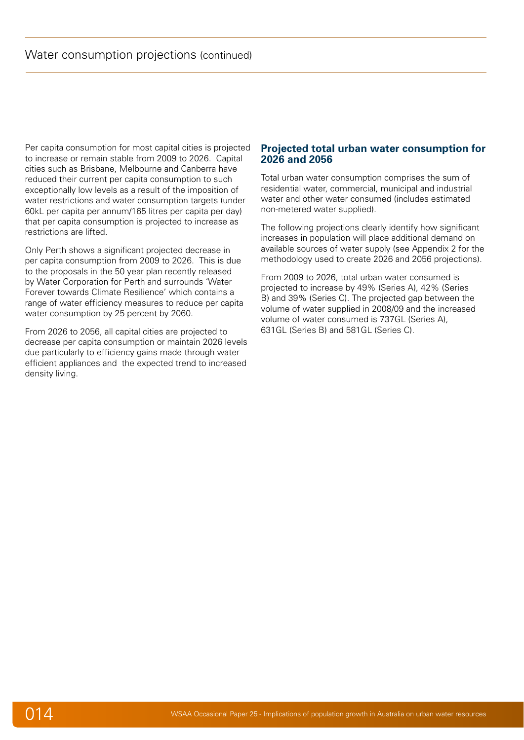<span id="page-14-0"></span>Per capita consumption for most capital cities is projected to increase or remain stable from 2009 to 2026. Capital cities such as Brisbane, Melbourne and Canberra have reduced their current per capita consumption to such exceptionally low levels as a result of the imposition of water restrictions and water consumption targets (under 60kL per capita per annum/165 litres per capita per day) that per capita consumption is projected to increase as restrictions are lifted.

Only Perth shows a significant projected decrease in per capita consumption from 2009 to 2026. This is due to the proposals in the 50 year plan recently released by Water Corporation for Perth and surrounds 'Water Forever towards Climate Resilience' which contains a range of water efficiency measures to reduce per capita water consumption by 25 percent by 2060.

From 2026 to 2056, all capital cities are projected to decrease per capita consumption or maintain 2026 levels due particularly to efficiency gains made through water efficient appliances and the expected trend to increased density living.

### **Projected total urban water consumption for 2026 and 2056**

Total urban water consumption comprises the sum of residential water, commercial, municipal and industrial water and other water consumed (includes estimated non-metered water supplied).

The following projections clearly identify how significant increases in population will place additional demand on available sources of water supply (see Appendix 2 for the methodology used to create 2026 and 2056 projections).

From 2009 to 2026, total urban water consumed is projected to increase by 49% (Series A), 42% (Series B) and 39% (Series C). The projected gap between the volume of water supplied in 2008/09 and the increased volume of water consumed is 737GL (Series A), 631GL (Series B) and 581GL (Series C).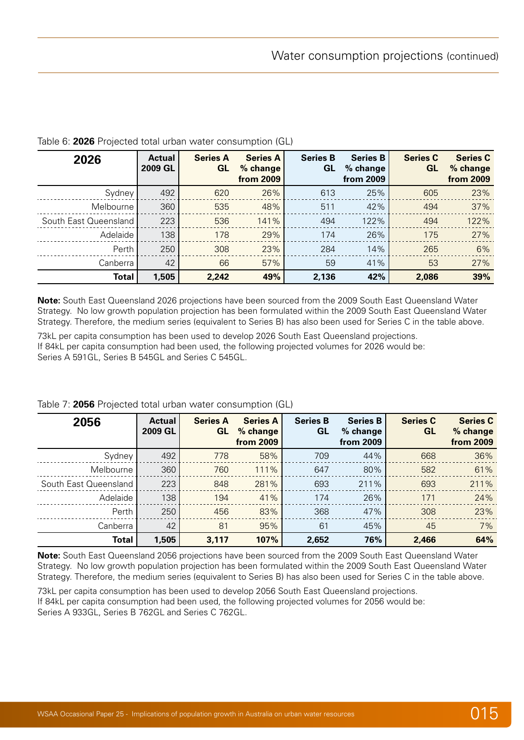| 2026                  | <b>Actual</b><br><b>2009 GL</b> | <b>Series A</b><br>GL | <b>Series A</b><br>% change<br>from 2009 | <b>Series B</b><br>GL | <b>Series B</b><br>% change<br>from 2009 | <b>Series C</b><br>GL | <b>Series C</b><br>% change<br>from 2009 |
|-----------------------|---------------------------------|-----------------------|------------------------------------------|-----------------------|------------------------------------------|-----------------------|------------------------------------------|
| Sydney                | 492                             | 620                   | 26%                                      | 613                   | 25%                                      | 605                   | 23%                                      |
| Melbourne             | 360                             | 535                   | 48%                                      | 511                   | 42%                                      | 494                   | 37%                                      |
| South East Queensland | 223                             | 536                   | 141%                                     | 494                   | 122%                                     | 494                   | 122%                                     |
| Adelaide              | 138                             | 178                   | 29%                                      | 174                   | 26%                                      | 175                   | 27%                                      |
| Perth                 | 250                             | 308                   | 23%                                      | 284                   | 14%                                      | 265                   | 6%                                       |
| Canberra              | 42                              | 66                    | 57%                                      | 59                    | 41%                                      | 53                    | 27%                                      |
| <b>Total</b>          | 1,505                           | 2,242                 | 49%                                      | 2,136                 | 42%                                      | 2,086                 | 39%                                      |

### Table 6: **2026** Projected total urban water consumption (GL)

**Note:** South East Queensland 2026 projections have been sourced from the 2009 South East Queensland Water Strategy. No low growth population projection has been formulated within the 2009 South East Queensland Water Strategy. Therefore, the medium series (equivalent to Series B) has also been used for Series C in the table above.

73kL per capita consumption has been used to develop 2026 South East Queensland projections. If 84kL per capita consumption had been used, the following projected volumes for 2026 would be: Series A 591GL, Series B 545GL and Series C 545GL.

| 2056                  | <b>Actual</b><br>2009 GL | <b>Series A</b><br><b>GL</b> | <b>Series A</b><br>% change<br>from 2009 | <b>Series B</b><br>GL | <b>Series B</b><br>% change<br>from 2009 | <b>Series C</b><br><b>GL</b> | <b>Series C</b><br>% change<br>from 2009 |
|-----------------------|--------------------------|------------------------------|------------------------------------------|-----------------------|------------------------------------------|------------------------------|------------------------------------------|
| Sydney                | 492                      | 778                          | 58%                                      | 709                   | 44%                                      | 668                          | 36%                                      |
| Melbourne             | 360                      | 760                          | 111%                                     | 647                   | 80%                                      | 582                          | 61%                                      |
| South East Queensland | 223                      | 848                          | 281%                                     | 693                   | 211%                                     | 693                          | 211%                                     |
| Adelaide              | 138                      | 194                          | 41%                                      | 174                   | 26%                                      | 171                          | 24%                                      |
| Perth                 | 250                      | 456                          | 83%                                      | 368                   | 47%                                      | 308                          | 23%                                      |
| Canberra              | 42                       | 81                           | 95%                                      | 61                    | 45%                                      | 45                           | 7%                                       |
| Total                 | 1,505                    | 3,117                        | 107%                                     | 2,652                 | 76%                                      | 2,466                        | 64%                                      |

#### Table 7: **2056** Projected total urban water consumption (GL)

**Note:** South East Queensland 2056 projections have been sourced from the 2009 South East Queensland Water Strategy. No low growth population projection has been formulated within the 2009 South East Queensland Water Strategy. Therefore, the medium series (equivalent to Series B) has also been used for Series C in the table above.

73kL per capita consumption has been used to develop 2056 South East Queensland projections. If 84kL per capita consumption had been used, the following projected volumes for 2056 would be: Series A 933GL, Series B 762GL and Series C 762GL.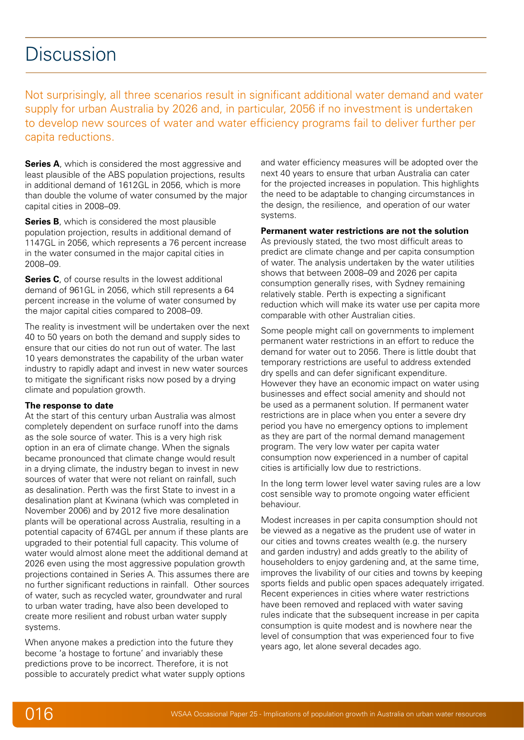# <span id="page-16-0"></span>**Discussion**

Not surprisingly, all three scenarios result in significant additional water demand and water supply for urban Australia by 2026 and, in particular, 2056 if no investment is undertaken to develop new sources of water and water efficiency programs fail to deliver further per capita reductions.

**Series A**, which is considered the most aggressive and least plausible of the ABS population projections, results in additional demand of 1612GL in 2056, which is more than double the volume of water consumed by the major capital cities in 2008–09.

**Series B**, which is considered the most plausible population projection, results in additional demand of 1147GL in 2056, which represents a 76 percent increase in the water consumed in the major capital cities in 2008–09.

**Series C**, of course results in the lowest additional demand of 961GL in 2056, which still represents a 64 percent increase in the volume of water consumed by the major capital cities compared to 2008–09.

The reality is investment will be undertaken over the next 40 to 50 years on both the demand and supply sides to ensure that our cities do not run out of water. The last 10 years demonstrates the capability of the urban water industry to rapidly adapt and invest in new water sources to mitigate the significant risks now posed by a drying climate and population growth.

#### **The response to date**

At the start of this century urban Australia was almost completely dependent on surface runoff into the dams as the sole source of water. This is a very high risk option in an era of climate change. When the signals became pronounced that climate change would result in a drying climate, the industry began to invest in new sources of water that were not reliant on rainfall, such as desalination. Perth was the first State to invest in a desalination plant at Kwinana (which was completed in November 2006) and by 2012 five more desalination plants will be operational across Australia, resulting in a potential capacity of 674GL per annum if these plants are upgraded to their potential full capacity. This volume of water would almost alone meet the additional demand at 2026 even using the most aggressive population growth projections contained in Series A. This assumes there are no further significant reductions in rainfall. Other sources of water, such as recycled water, groundwater and rural to urban water trading, have also been developed to create more resilient and robust urban water supply systems.

When anyone makes a prediction into the future they become 'a hostage to fortune' and invariably these predictions prove to be incorrect. Therefore, it is not possible to accurately predict what water supply options and water efficiency measures will be adopted over the next 40 years to ensure that urban Australia can cater for the projected increases in population. This highlights the need to be adaptable to changing circumstances in the design, the resilience, and operation of our water systems.

**Permanent water restrictions are not the solution** As previously stated, the two most difficult areas to predict are climate change and per capita consumption of water. The analysis undertaken by the water utilities shows that between 2008–09 and 2026 per capita consumption generally rises, with Sydney remaining relatively stable. Perth is expecting a significant reduction which will make its water use per capita more comparable with other Australian cities.

Some people might call on governments to implement permanent water restrictions in an effort to reduce the demand for water out to 2056. There is little doubt that temporary restrictions are useful to address extended dry spells and can defer significant expenditure. However they have an economic impact on water using businesses and effect social amenity and should not be used as a permanent solution. If permanent water restrictions are in place when you enter a severe dry period you have no emergency options to implement as they are part of the normal demand management program. The very low water per capita water consumption now experienced in a number of capital cities is artificially low due to restrictions.

In the long term lower level water saving rules are a low cost sensible way to promote ongoing water efficient behaviour.

Modest increases in per capita consumption should not be viewed as a negative as the prudent use of water in our cities and towns creates wealth (e.g. the nursery and garden industry) and adds greatly to the ability of householders to enjoy gardening and, at the same time, improves the livability of our cities and towns by keeping sports fields and public open spaces adequately irrigated. Recent experiences in cities where water restrictions have been removed and replaced with water saving rules indicate that the subsequent increase in per capita consumption is quite modest and is nowhere near the level of consumption that was experienced four to five years ago, let alone several decades ago.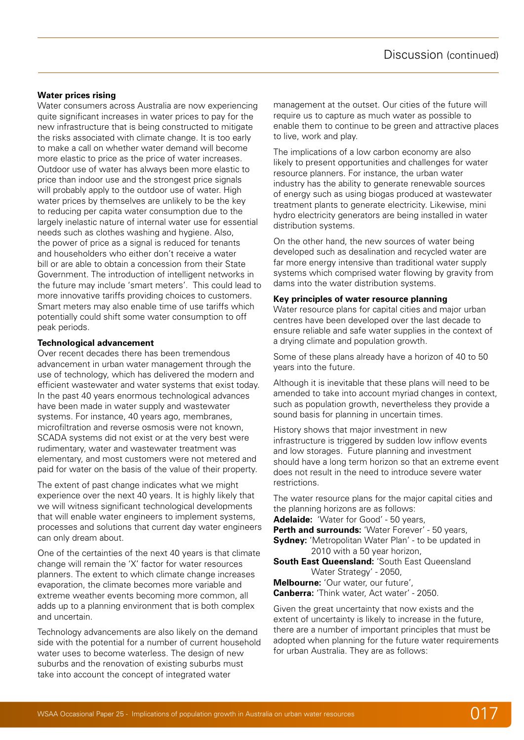#### **Water prices rising**

Water consumers across Australia are now experiencing quite significant increases in water prices to pay for the new infrastructure that is being constructed to mitigate the risks associated with climate change. It is too early to make a call on whether water demand will become more elastic to price as the price of water increases. Outdoor use of water has always been more elastic to price than indoor use and the strongest price signals will probably apply to the outdoor use of water. High water prices by themselves are unlikely to be the key to reducing per capita water consumption due to the largely inelastic nature of internal water use for essential needs such as clothes washing and hygiene. Also, the power of price as a signal is reduced for tenants and householders who either don't receive a water bill or are able to obtain a concession from their State Government. The introduction of intelligent networks in the future may include 'smart meters'. This could lead to more innovative tariffs providing choices to customers. Smart meters may also enable time of use tariffs which potentially could shift some water consumption to off peak periods.

#### **Technological advancement**

Over recent decades there has been tremendous advancement in urban water management through the use of technology, which has delivered the modern and efficient wastewater and water systems that exist today. In the past 40 years enormous technological advances have been made in water supply and wastewater systems. For instance, 40 years ago, membranes, microfiltration and reverse osmosis were not known, SCADA systems did not exist or at the very best were rudimentary, water and wastewater treatment was elementary, and most customers were not metered and paid for water on the basis of the value of their property.

The extent of past change indicates what we might experience over the next 40 years. It is highly likely that we will witness significant technological developments that will enable water engineers to implement systems, processes and solutions that current day water engineers can only dream about.

One of the certainties of the next 40 years is that climate change will remain the 'X' factor for water resources planners. The extent to which climate change increases evaporation, the climate becomes more variable and extreme weather events becoming more common, all adds up to a planning environment that is both complex and uncertain.

Technology advancements are also likely on the demand side with the potential for a number of current household water uses to become waterless. The design of new suburbs and the renovation of existing suburbs must take into account the concept of integrated water

management at the outset. Our cities of the future will require us to capture as much water as possible to enable them to continue to be green and attractive places to live, work and play.

The implications of a low carbon economy are also likely to present opportunities and challenges for water resource planners. For instance, the urban water industry has the ability to generate renewable sources of energy such as using biogas produced at wastewater treatment plants to generate electricity. Likewise, mini hydro electricity generators are being installed in water distribution systems.

On the other hand, the new sources of water being developed such as desalination and recycled water are far more energy intensive than traditional water supply systems which comprised water flowing by gravity from dams into the water distribution systems.

#### **Key principles of water resource planning**

Water resource plans for capital cities and major urban centres have been developed over the last decade to ensure reliable and safe water supplies in the context of a drying climate and population growth.

Some of these plans already have a horizon of 40 to 50 years into the future.

Although it is inevitable that these plans will need to be amended to take into account myriad changes in context, such as population growth, nevertheless they provide a sound basis for planning in uncertain times.

History shows that major investment in new infrastructure is triggered by sudden low inflow events and low storages. Future planning and investment should have a long term horizon so that an extreme event does not result in the need to introduce severe water restrictions.

The water resource plans for the major capital cities and the planning horizons are as follows:

**Adelaide:** 'Water for Good' - 50 years,

**Perth and surrounds: 'Water Forever' - 50 years, Sydney:** 'Metropolitan Water Plan' - to be updated in 2010 with a 50 year horizon,

**South East Queensland:** 'South East Queensland Water Strategy' - 2050, **Melbourne:** 'Our water, our future',

**Canberra:** 'Think water, Act water' - 2050.

Given the great uncertainty that now exists and the extent of uncertainty is likely to increase in the future, there are a number of important principles that must be adopted when planning for the future water requirements for urban Australia. They are as follows: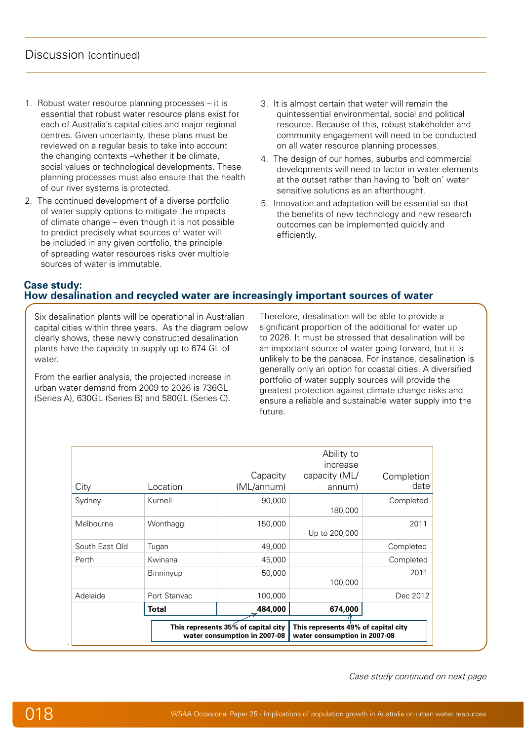- <span id="page-18-0"></span>1. Robust water resource planning processes – it is essential that robust water resource plans exist for each of Australia's capital cities and major regional centres. Given uncertainty, these plans must be reviewed on a regular basis to take into account the changing contexts –whether it be climate, social values or technological developments. These planning processes must also ensure that the health of our river systems is protected.
- 2. The continued development of a diverse portfolio of water supply options to mitigate the impacts of climate change – even though it is not possible to predict precisely what sources of water will be included in any given portfolio, the principle of spreading water resources risks over multiple sources of water is immutable.
- 3. It is almost certain that water will remain the quintessential environmental, social and political resource. Because of this, robust stakeholder and community engagement will need to be conducted on all water resource planning processes.
- 4. The design of our homes, suburbs and commercial developments will need to factor in water elements at the outset rather than having to 'bolt on' water sensitive solutions as an afterthought.
- 5. Innovation and adaptation will be essential so that the benefits of new technology and new research outcomes can be implemented quickly and efficiently.

## **Case study: How desalination and recycled water are increasingly important sources of water**

Six desalination plants will be operational in Australian capital cities within three years. As the diagram below clearly shows, these newly constructed desalination plants have the capacity to supply up to 674 GL of water.

From the earlier analysis, the projected increase in urban water demand from 2009 to 2026 is 736GL (Series A), 630GL (Series B) and 580GL (Series C).

the plants ever need expanding.

great virtue of desalination is that it is a reliable

Therefore, desalination will be able to provide a significant proportion of the additional for water up to 2026. It must be stressed that desalination will be an important source of water going forward, but it is unlikely to be the panacea. For instance, desalination is generally only an option for coastal cities. A diversified portfolio of water supply sources will provide the greatest protection against climate change risks and ensure a reliable and sustainable water supply into the future.  $\alpha$  |

|                |              | This represents 35% of capital city<br>water consumption in 2007-08 | This represents 49% of capital city<br>water consumption in 2007-08 |                    |
|----------------|--------------|---------------------------------------------------------------------|---------------------------------------------------------------------|--------------------|
|                | <b>Total</b> | 484,000                                                             | 674,000                                                             |                    |
| Adelaide       | Port Stanyac | 100,000                                                             |                                                                     | Dec 2012           |
|                | Binninyup    | 50,000                                                              | 100,000                                                             | 2011               |
| Perth          | Kwinana      | 45,000                                                              |                                                                     | Completed          |
| South East Old | Tugan        | 49,000                                                              |                                                                     | Completed          |
| Melbourne      | Wonthaggi    | 150,000                                                             | Up to 200,000                                                       | 2011               |
| Sydney         | Kurnell      | 90,000                                                              | 180,000                                                             | Completed          |
| City           | Location     | Capacity<br>(ML/annum)                                              | Ability to<br>increase<br>capacity (ML/<br>annum)                   | Completion<br>date |

Case study continued on next page  $\mathcal{G}$  shows that the volume of recycled water  $\mathcal{G}$ case study continued on next page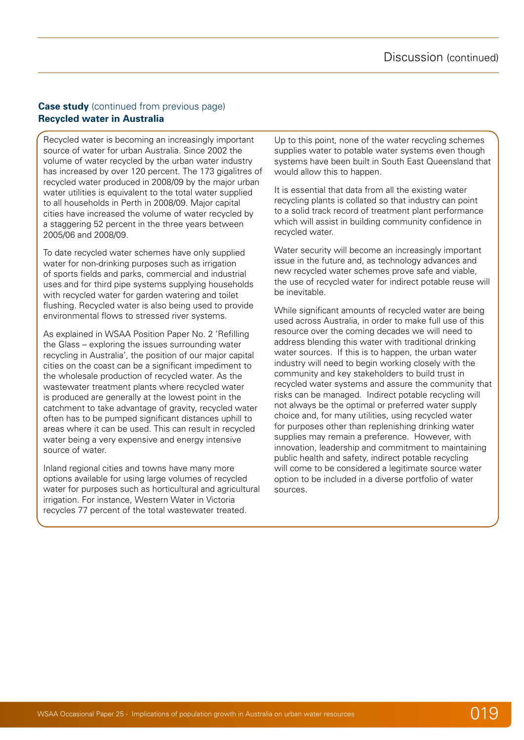### **Case study** (continued from previous page) **Recycled water in Australia**

Recycled water is becoming an increasingly important source of water for urban Australia. Since 2002 the volume of water recycled by the urban water industry has increased by over 120 percent. The 173 gigalitres of recycled water produced in 2008/09 by the major urban water utilities is equivalent to the total water supplied to all households in Perth in 2008/09. Major capital cities have increased the volume of water recycled by a staggering 52 percent in the three years between 2005/06 and 2008/09.

To date recycled water schemes have only supplied water for non-drinking purposes such as irrigation of sports fields and parks, commercial and industrial uses and for third pipe systems supplying households with recycled water for garden watering and toilet flushing. Recycled water is also being used to provide environmental flows to stressed river systems.

As explained in WSAA Position Paper No. 2 'Refilling the Glass – exploring the issues surrounding water recycling in Australia', the position of our major capital cities on the coast can be a significant impediment to the wholesale production of recycled water. As the wastewater treatment plants where recycled water is produced are generally at the lowest point in the catchment to take advantage of gravity, recycled water often has to be pumped significant distances uphill to areas where it can be used. This can result in recycled water being a very expensive and energy intensive source of water.

Inland regional cities and towns have many more options available for using large volumes of recycled water for purposes such as horticultural and agricultural irrigation. For instance, Western Water in Victoria recycles 77 percent of the total wastewater treated.

Up to this point, none of the water recycling schemes supplies water to potable water systems even though systems have been built in South East Queensland that would allow this to happen.

It is essential that data from all the existing water recycling plants is collated so that industry can point to a solid track record of treatment plant performance which will assist in building community confidence in recycled water.

Water security will become an increasingly important issue in the future and, as technology advances and new recycled water schemes prove safe and viable, the use of recycled water for indirect potable reuse will be inevitable.

While significant amounts of recycled water are being used across Australia, in order to make full use of this resource over the coming decades we will need to address blending this water with traditional drinking water sources. If this is to happen, the urban water industry will need to begin working closely with the community and key stakeholders to build trust in recycled water systems and assure the community that risks can be managed. Indirect potable recycling will not always be the optimal or preferred water supply choice and, for many utilities, using recycled water for purposes other than replenishing drinking water supplies may remain a preference. However, with innovation, leadership and commitment to maintaining public health and safety, indirect potable recycling will come to be considered a legitimate source water option to be included in a diverse portfolio of water sources.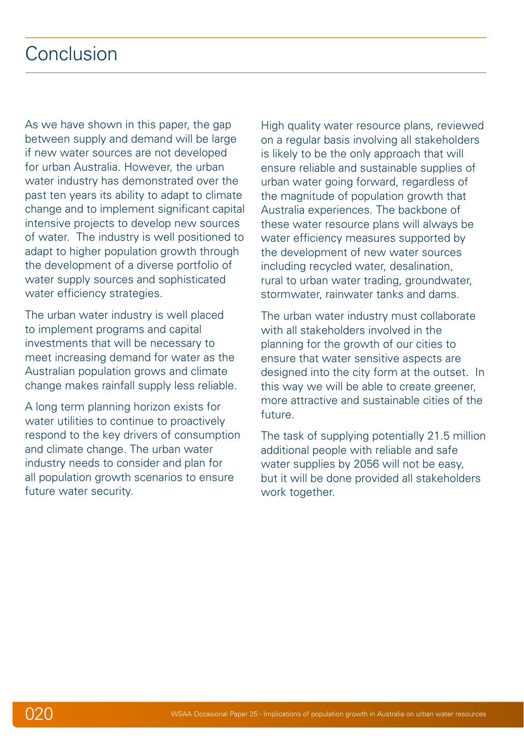# <span id="page-20-0"></span>Conclusion

As we have shown in this paper, the gap between supply and demand will be large if new water sources are not developed for urban Australia. However, the urban water industry has demonstrated over the past ten years its ability to adapt to climate change and to implement significant capital intensive projects to develop new sources of water. The industry is well positioned to adapt to higher population growth through the development of a diverse portfolio of water supply sources and sophisticated water efficiency strategies.

The urban water industry is well placed to implement programs and capital investments that will be necessary to meet increasing demand for water as the Australian population grows and climate change makes rainfall supply less reliable.

A long term planning horizon exists for water utilities to continue to proactively respond to the key drivers of consumption and climate change. The urban water industry needs to consider and plan for all population growth scenarios to ensure future water security.

High quality water resource plans, reviewed on a regular basis involving all stakeholders is likely to be the only approach that will ensure reliable and sustainable supplies of urban water going forward, regardless of the magnitude of population growth that Australia experiences. The backbone of these water resource plans will always be water efficiency measures supported by the development of new water sources including recycled water, desalination, rural to urban water trading, groundwater, stormwater, rainwater tanks and dams.

The urban water industry must collaborate with all stakeholders involved in the planning for the growth of our cities to ensure that water sensitive aspects are designed into the city form at the outset. In this way we will be able to create greener, more attractive and sustainable cities of the future.

The task of supplying potentially 21.5 million additional people with reliable and safe water supplies by 2056 will not be easy, but it will be done provided all stakeholders work together.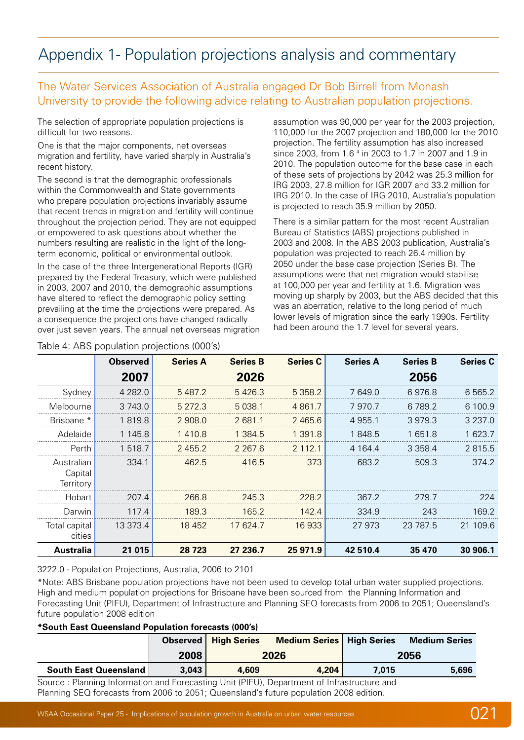# <span id="page-21-0"></span>Appendix 1- Population projections analysis and commentary

# The Water Services Association of Australia engaged Dr Bob Birrell from Monash University to provide the following advice relating to Australian population projections.

The selection of appropriate population projections is difficult for two reasons.

One is that the major components, net overseas migration and fertility, have varied sharply in Australia's recent history.

The second is that the demographic professionals within the Commonwealth and State governments who prepare population projections invariably assume that recent trends in migration and fertility will continue throughout the projection period. They are not equipped or empowered to ask questions about whether the numbers resulting are realistic in the light of the longterm economic, political or environmental outlook.

In the case of the three Intergenerational Reports (IGR) prepared by the Federal Treasury, which were published in 2003, 2007 and 2010, the demographic assumptions have altered to reflect the demographic policy setting prevailing at the time the projections were prepared. As a consequence the projections have changed radically over just seven years. The annual net overseas migration

#### Table 4: ABS population projections (000's)

assumption was 90,000 per year for the 2003 projection, 110,000 for the 2007 projection and 180,000 for the 2010 projection. The fertility assumption has also increased since 2003, from 1.6<sup>4</sup> in 2003 to 1.7 in 2007 and 1.9 in 2010. The population outcome for the base case in each of these sets of projections by 2042 was 25.3 million for IRG 2003, 27.8 million for IGR 2007 and 33.2 million for IRG 2010. In the case of IRG 2010, Australia's population is projected to reach 35.9 million by 2050.

There is a similar pattern for the most recent Australian Bureau of Statistics (ABS) projections published in 2003 and 2008. In the ABS 2003 publication, Australia's population was projected to reach 26.4 million by 2050 under the base case projection (Series B). The assumptions were that net migration would stabilise at 100,000 per year and fertility at 1.6. Migration was moving up sharply by 2003, but the ABS decided that this was an aberration, relative to the long period of much lower levels of migration since the early 1990s. Fertility had been around the 1.7 level for several years.

|                                    | <b>Observed</b> | <b>Series A</b> | <b>Series B</b> | <b>Series C</b> | <b>Series A</b> | <b>Series B</b> | <b>Series C</b> |
|------------------------------------|-----------------|-----------------|-----------------|-----------------|-----------------|-----------------|-----------------|
|                                    | 2007            |                 | 2026            |                 |                 | 2056            |                 |
| Sydney                             | 4 2 8 2.0       | 5487.2          | 5 4 2 6 .3      | 5 3 5 8.2       | 7 649.0         | 6976.8          | 6 5 6 5.2       |
| Melbourne                          | 3 743.0         | 5 2 7 2 . 3     | 5 0 38.1        | 4 8 6 1 . 7     | 7970.7          | 6 7 8 9.2       | 6 100.9         |
| Brisbane <sup>*</sup>              | 1819.8          | 2 908.0         | 2 681.1         | 2465.6          | 4 9 5 5.1       | 3979.3          | 3 2 3 7 .0      |
| Adelaide                           | 1 145.8         | 1410.8          | 1 3 8 4 . 5     | 1 391.8         | 1848.5          | 1 651.8         | 1 623.7         |
| Perth                              | 1 518.7         | 2455.2          | 2 2 6 7 . 6     | 2 112.1         | 4 1 64.4        | 3 3 5 8.4       | 2 815.5         |
| Australian<br>Capital<br>Territory | 334.1           | 462.5           | 416.5           | 373             | 683.2           | 509.3           | 374.2           |
| Hobart                             | 207.4           | 266.8           | 245.3           | 228.2           | 367.2           | 279.7           | 224             |
| Darwin                             | 117.4           | 189.3           | 165.2           | 142.4           | 334.9           | 243             | 169.2           |
| Total capital<br>cities            | 13 373.4        | 18 4 5 2        | 17 624.7        | 16933           | 27 973          | 23 787.5        | 21 109.6        |
| Australia                          | 21 015          | 28 7 23         | 27 236.7        | 25 971.9        | 42 510.4        | 35 470          | 30 906.1        |

3222.0 - Population Projections, Australia, 2006 to 2101

\*Note: ABS Brisbane population projections have not been used to develop total urban water supplied projections. High and medium population projections for Brisbane have been sourced from the Planning Information and Forecasting Unit (PIFU), Department of Infrastructure and Planning SEQ forecasts from 2006 to 2051; Queensland's future population 2008 edition

#### **\*South East Queensland Population forecasts (000's)**

|                              |       | <b>Observed</b>   High Series | <b>Medium Series   High Series</b> |       | <b>Medium Series</b> |
|------------------------------|-------|-------------------------------|------------------------------------|-------|----------------------|
|                              | 2008  | 2026                          |                                    | 2056  |                      |
| <b>South East Queensland</b> | 3,043 | 4,609                         | 4,204                              | 7.015 | 5,696                |

Source : Planning Information and Forecasting Unit (PIFU), Department of Infrastructure and Planning SEQ forecasts from 2006 to 2051; Queensland's future population 2008 edition.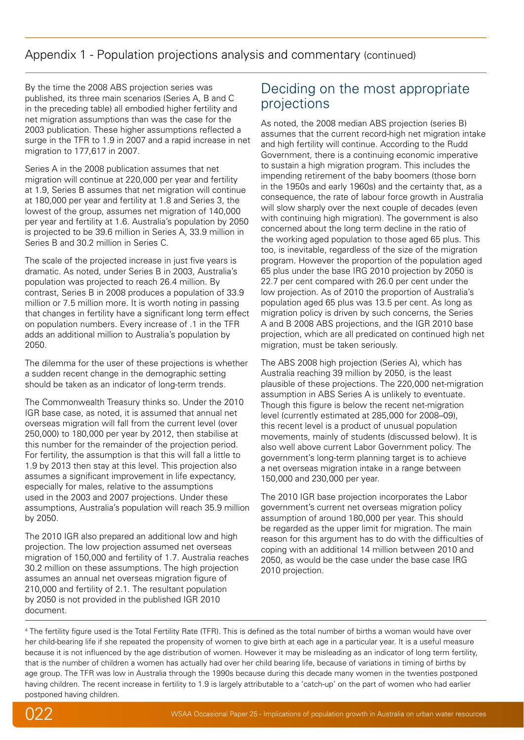# Appendix 1 - Population projections analysis and commentary (continued)

By the time the 2008 ABS projection series was published, its three main scenarios (Series A, B and C in the preceding table) all embodied higher fertility and net migration assumptions than was the case for the 2003 publication. These higher assumptions reflected a surge in the TFR to 1.9 in 2007 and a rapid increase in net migration to 177,617 in 2007.

Series A in the 2008 publication assumes that net migration will continue at 220,000 per year and fertility at 1.9, Series B assumes that net migration will continue at 180,000 per year and fertility at 1.8 and Series 3, the lowest of the group, assumes net migration of 140,000 per year and fertility at 1.6. Australia's population by 2050 is projected to be 39.6 million in Series A, 33.9 million in Series B and 30.2 million in Series C.

The scale of the projected increase in just five years is dramatic. As noted, under Series B in 2003, Australia's population was projected to reach 26.4 million. By contrast, Series B in 2008 produces a population of 33.9 million or 7.5 million more. It is worth noting in passing that changes in fertility have a significant long term effect on population numbers. Every increase of .1 in the TFR adds an additional million to Australia's population by 2050.

The dilemma for the user of these projections is whether a sudden recent change in the demographic setting should be taken as an indicator of long-term trends.

The Commonwealth Treasury thinks so. Under the 2010 IGR base case, as noted, it is assumed that annual net overseas migration will fall from the current level (over 250,000) to 180,000 per year by 2012, then stabilise at this number for the remainder of the projection period. For fertility, the assumption is that this will fall a little to 1.9 by 2013 then stay at this level. This projection also assumes a significant improvement in life expectancy. especially for males, relative to the assumptions used in the 2003 and 2007 projections. Under these assumptions, Australia's population will reach 35.9 million by 2050.

The 2010 IGR also prepared an additional low and high projection. The low projection assumed net overseas migration of 150,000 and fertility of 1.7. Australia reaches 30.2 million on these assumptions. The high projection assumes an annual net overseas migration figure of 210,000 and fertility of 2.1. The resultant population by 2050 is not provided in the published IGR 2010 document.

# Deciding on the most appropriate projections

As noted, the 2008 median ABS projection (series B) assumes that the current record-high net migration intake and high fertility will continue. According to the Rudd Government, there is a continuing economic imperative to sustain a high migration program. This includes the impending retirement of the baby boomers (those born in the 1950s and early 1960s) and the certainty that, as a consequence, the rate of labour force growth in Australia will slow sharply over the next couple of decades (even with continuing high migration). The government is also concerned about the long term decline in the ratio of the working aged population to those aged 65 plus. This too, is inevitable, regardless of the size of the migration program. However the proportion of the population aged 65 plus under the base IRG 2010 projection by 2050 is 22.7 per cent compared with 26.0 per cent under the low projection. As of 2010 the proportion of Australia's population aged 65 plus was 13.5 per cent. As long as migration policy is driven by such concerns, the Series A and B 2008 ABS projections, and the IGR 2010 base projection, which are all predicated on continued high net migration, must be taken seriously.

The ABS 2008 high projection (Series A), which has Australia reaching 39 million by 2050, is the least plausible of these projections. The 220,000 net-migration assumption in ABS Series A is unlikely to eventuate. Though this figure is below the recent net-migration level (currently estimated at 285,000 for 2008–09), this recent level is a product of unusual population movements, mainly of students (discussed below). It is also well above current Labor Government policy. The government's long-term planning target is to achieve a net overseas migration intake in a range between 150,000 and 230,000 per year.

The 2010 IGR base projection incorporates the Labor government's current net overseas migration policy assumption of around 180,000 per year. This should be regarded as the upper limit for migration. The main reason for this argument has to do with the difficulties of coping with an additional 14 million between 2010 and 2050, as would be the case under the base case IRG 2010 projection.

4 The fertility figure used is the Total Fertility Rate (TFR). This is defined as the total number of births a woman would have over her child-bearing life if she repeated the propensity of women to give birth at each age in a particular year. It is a useful measure because it is not influenced by the age distribution of women. However it may be misleading as an indicator of long term fertility, that is the number of children a women has actually had over her child bearing life, because of variations in timing of births by age group. The TFR was low in Australia through the 1990s because during this decade many women in the twenties postponed having children. The recent increase in fertility to 1.9 is largely attributable to a 'catch-up' on the part of women who had earlier postponed having children.

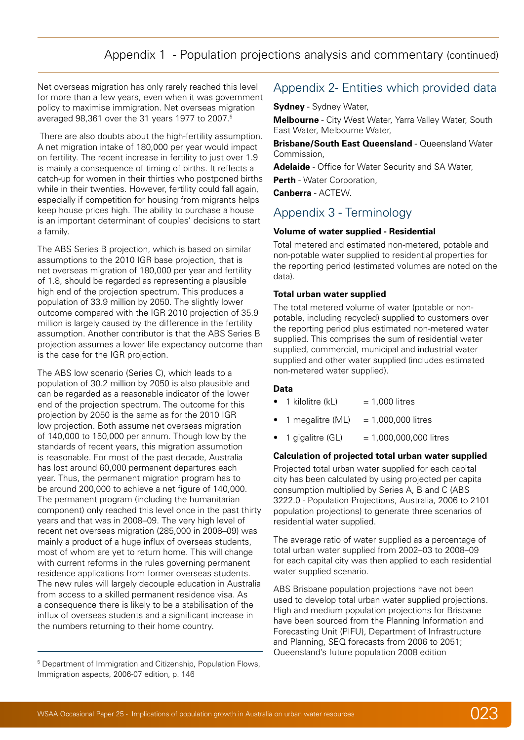# Appendix 1 - Population projections analysis and commentary (continued)

<span id="page-23-0"></span>Net overseas migration has only rarely reached this level for more than a few years, even when it was government policy to maximise immigration. Net overseas migration averaged 98,361 over the 31 years 1977 to 2007.5

 There are also doubts about the high-fertility assumption. A net migration intake of 180,000 per year would impact on fertility. The recent increase in fertility to just over 1.9 is mainly a consequence of timing of births. It reflects a catch-up for women in their thirties who postponed births while in their twenties. However, fertility could fall again, especially if competition for housing from migrants helps keep house prices high. The ability to purchase a house is an important determinant of couples' decisions to start a family.

The ABS Series B projection, which is based on similar assumptions to the 2010 IGR base projection, that is net overseas migration of 180,000 per year and fertility of 1.8, should be regarded as representing a plausible high end of the projection spectrum. This produces a population of 33.9 million by 2050. The slightly lower outcome compared with the IGR 2010 projection of 35.9 million is largely caused by the difference in the fertility assumption. Another contributor is that the ABS Series B projection assumes a lower life expectancy outcome than is the case for the IGR projection.

The ABS low scenario (Series C), which leads to a population of 30.2 million by 2050 is also plausible and can be regarded as a reasonable indicator of the lower end of the projection spectrum. The outcome for this projection by 2050 is the same as for the 2010 IGR low projection. Both assume net overseas migration of 140,000 to 150,000 per annum. Though low by the standards of recent years, this migration assumption is reasonable. For most of the past decade, Australia has lost around 60,000 permanent departures each year. Thus, the permanent migration program has to be around 200,000 to achieve a net figure of 140,000. The permanent program (including the humanitarian component) only reached this level once in the past thirty years and that was in 2008–09. The very high level of recent net overseas migration (285,000 in 2008–09) was mainly a product of a huge influx of overseas students, most of whom are yet to return home. This will change with current reforms in the rules governing permanent residence applications from former overseas students. The new rules will largely decouple education in Australia from access to a skilled permanent residence visa. As a consequence there is likely to be a stabilisation of the influx of overseas students and a significant increase in the numbers returning to their home country.

# Appendix 2- Entities which provided data

**Sydney** - Sydney Water,

**Melbourne** - City West Water, Yarra Valley Water, South East Water, Melbourne Water,

**Brisbane/South East Queensland - Queensland Water** Commission,

**Adelaide** - Office for Water Security and SA Water,

**Perth** - Water Corporation,

**Canberra** - ACTEW.

# Appendix 3 - Terminology

#### **Volume of water supplied - Residential**

Total metered and estimated non-metered, potable and non-potable water supplied to residential properties for the reporting period (estimated volumes are noted on the data).

#### **Total urban water supplied**

The total metered volume of water (potable or nonpotable, including recycled) supplied to customers over the reporting period plus estimated non-metered water supplied. This comprises the sum of residential water supplied, commercial, municipal and industrial water supplied and other water supplied (includes estimated non-metered water supplied).

#### **Data**

- $\bullet$  1 kilolitre (kL)  $=$  1,000 litres
- 1 megalitre (ML)  $= 1,000,000$  litres
- $1$  gigalitre (GL)  $= 1,000,000,000$  litres

#### **Calculation of projected total urban water supplied**

Projected total urban water supplied for each capital city has been calculated by using projected per capita consumption multiplied by Series A, B and C (ABS 3222.0 - Population Projections, Australia, 2006 to 2101 population projections) to generate three scenarios of residential water supplied.

The average ratio of water supplied as a percentage of total urban water supplied from 2002–03 to 2008–09 for each capital city was then applied to each residential water supplied scenario.

ABS Brisbane population projections have not been used to develop total urban water supplied projections. High and medium population projections for Brisbane have been sourced from the Planning Information and Forecasting Unit (PIFU), Department of Infrastructure and Planning, SEQ forecasts from 2006 to 2051; Queensland's future population 2008 edition



<sup>&</sup>lt;sup>5</sup> Department of Immigration and Citizenship, Population Flows, Immigration aspects, 2006-07 edition, p. 146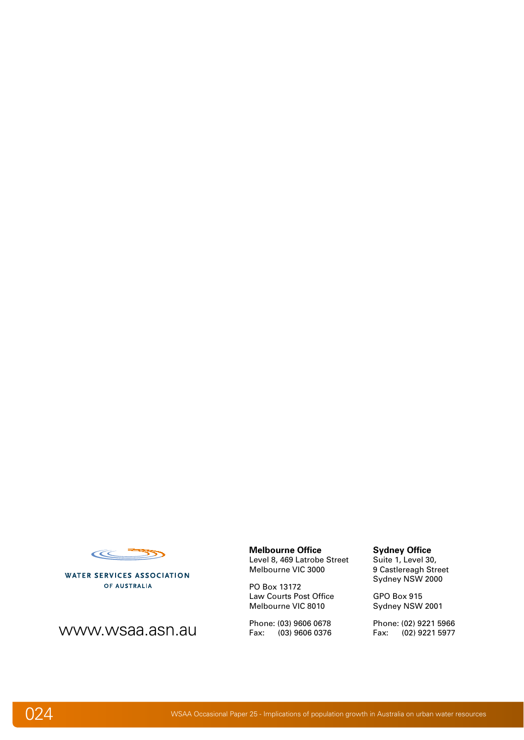

**WATER SERVICES ASSOCIATION** OF AUSTRALIA

www.wsaa.asn.au

#### **Melbourne Office**

Level 8, 469 Latrobe Street Melbourne VIC 3000

PO Box 13172 Law Courts Post Office Melbourne VIC 8010

Phone: (03) 9606 0678 Fax: (03) 9606 0376

#### **Sydney Office**

Suite 1, Level 30, 9 Castlereagh Street Sydney NSW 2000

GPO Box 915 Sydney NSW 2001

Phone: (02) 9221 5966 Fax: (02) 9221 5977